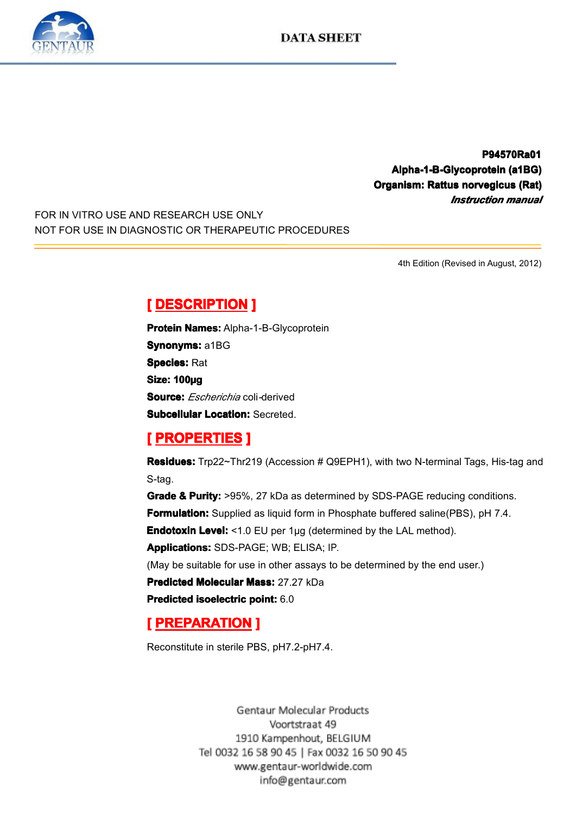

**P94570Ra01 P94570Ra01 Alpha-1-B-Glycoprotein Alpha-1-B-Glycoprotein (a1BG) ha-1-B-Glycoprotein(a1BG) Compression: Rattus horvegicus (Rat)**<br> *Instruction manual*<br> *Instruction manual Instruction Instruction Instruction manual*

FOR IN VITRO USE AND RESEARCH USE ONLY NOT FOR USE IN DIAGNOSTIC OR THERAPEUTIC PROCEDURES

4th Edition (Revised in August, 2012)

**Experience DESCRIPTION**<br> **Protein Names:** Alpha-<br> **Synonyms:** a1BG<br> **Species:** Rat<br> **Size: 100µg**<br> **Source:** *Escherichio* and **Protein Names:** Alpha-1-B-Glycoprotein<br>**Synonyms:** a1BG<br>**Species:** Rat<br>**Size: 100ug Synonyms: a1BG Species:** Rat Size: 100µg<br>Size: 100µg<br>Subcellular<br> **[** PROPE **Source:** *Escherichia* coli*-*derived

**Subcellular Location:** Secreted.<br> **[ PROPERTIES ]**<br> **Residues:** Trp22~Thr219 (Accession # Q9EPH1), with two N-terminal Tags, His-tag and S-tag.

**Experiment Excelusions**<br> **Residues:** Trp22~Thr2<br>
S-tag.<br> **Grade & Purity:** >95%<br> **Formulation:** Supplied **Residues:** Trp22~Thr219 (Accession # Q9EPH1), with two N-terminal Tags, His-tag and S-tag.<br> **Grade & Purity:** >95%, 27 kDa as determined by SDS-PAGE reducing conditions.<br> **Formulation:** Supplied as liquid form in Phosphat **Grade & Purity:** >95%, 27 kDa as determined by SDS-PAGE reducing conditions.<br> **Formulation:** Supplied as liquid form in Phosphate buffered saline(PBS), pH 7.4.<br> **Endotoxin Level:** <1.0 EU per 1µg (determined by the LAL me **Formulation:** Supplied as liquid form in Phosphate buffered saline(PBS), pH 7.4.<br>**Endotoxin Level:** <1.0 EU per 1µg (determined by the LAL method).<br>**Applications:** SDS-PAGE; WB; ELISA; IP.<br>(May be suitable for use in othe **Endotoxin Level:** <1.0 EU per 1µg (determined by the LAL method).<br>**Applications:** SDS-PAGE; WB; ELISA; IP.<br>(May be suitable for use in other assays to be determined by the end<br>**Predicted Molecular Mass:** 27.27 kDa<br>**Predic** 

**Applications:**SDS-PAGE; WB; ELISA; IP.<br>(May be suitable for use in other assays to<br>**Predicted Molecular Mass:** 27.27 kDa<br>**Predicted isoelectric point:** 6.0 (May be suitable for use in other assays to be determined by the end user.)<br> **Predicted Molecular Mass:** 27.27 kDa<br> **Predicted isoelectric point:** 6.0

**Predicted Molecular Mass:** 27.27 kDa<br>**Predicted isoelectric point:** 6.0<br>**[ PREPARATION ]**<br>Reconstitute in sterile PBS, pH7.2-pH7. **Predicted Molecular Mass:** 27.27 kDa<br>**Predicted isoelectric point:** 6.0<br>**[ PREPARATION ]** 

# **FREPARATION**<br>Reconstitute in sterile PB<br>Gent

Reconstitute in sterile PBS, pH7.2-pH7.4.

Voortstraat 49 1910 Kampenhout, BELGIUM Tel 0032 16 58 90 45 | Fax 0032 16 50 90 45 www.gentaur-worldwide.com info@gentaur.com